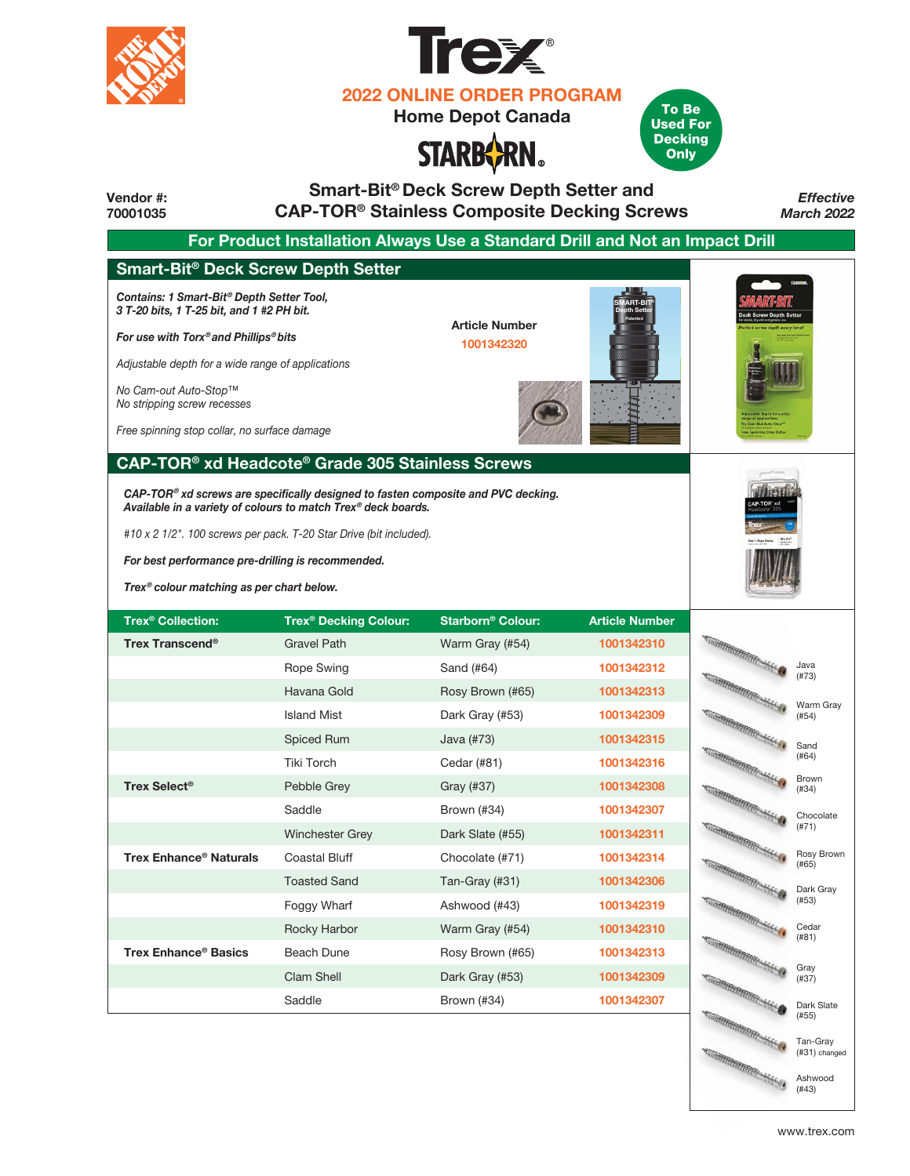



**Home Depot Canada**

# **STARBORN.**



 **Smart-Bit® Deck Screw Depth Setter and** 

*Effective*

#### **Vendor #: CAP-TOR® Stainless Composite Decking Screws 70001035** *March 2022* **For Product Installation Always Use a Standard Drill and Not an Impact Drill Smart-Bit® Deck Screw Depth Setter** *Contains: 1 Smart-Bit® Depth Setter Tool,* **SMART-BIT®** *3 T-20 bits, 1 T-25 bit, and 1 #2 PH bit.* **Depth Setter Article Number Patented** *For use with Torx® and Phillips® bits* **1001342320** *Adjustable depth for a wide range of applications No Cam-out Auto-Stop™ No stripping screw recesses Free spinning stop collar, no surface damage*  **CAP-TOR® xd Headcote® Grade 305 Stainless Screws** *CAP-TOR® xd screws are specifically designed to fasten composite and PVC decking. Available in a variety of colours to match Trex® deck boards. #10 x 2 1/2". 100 screws per pack. T-20 Star Drive (bit included). For best performance pre-drilling is recommended. Trex® colour matching as per chart below.***Trex® Decking Colour: Starborn® Trex Colour: Article Number ® Collection: Trex Transcend®** Gravel Path Warm Gray (#54) **1001342310 CONTRACTOR COMMENTARY COMMENTARY COMMENTARY COMMENTARY COMMENTARY COMMENTARY COMMENTARY COMMENTARY COMMENTARY 1001342312** Rope Swing Sand (#64) Java (#73) **HARRICK CARD CONTROLLER** Havana Gold **1001342313** Rosy Brown (#65) Warm Gray Island Mist Dark Gray (#53) **1001342309** (#54) Spiced Rum Java (#73) **1001342315** Sand (#64) Tiki Torch Cedar (#81) **1001342316** Brown **Trex Select®** Pebble Grey Gray (#37) **1001342308** (#34) Saddle Brown (#34) **1001342307** Chocolate (#71) Winchester Grey Dark Slate (#55) **1001342311** Rosy Brown **Trex Enhance® Naturals** Coastal Bluff Chocolate (#71) **1001342314**  $(H65)$ Toasted Sand Tan-Gray (#31) **1001342306** Dark Gray (#53) Foggy Wharf Ashwood (#43) **1001342319** Rocky Harbor Warm Gray (#54) **1001342310** Cedar (#81) **Trex Enhance® Basics** Beach Dune Rosy Brown (#65) **1001342313** Gray Clam Shell Dark Gray (#53) **1001342309** (#37) Saddle Brown (#34) **1001342307** Dark Slate (#55) Tan-Gray

(#31) changed Ashwood (#43)

**RATHER AND REAL PROPERTY AND REAL PROPERTY**